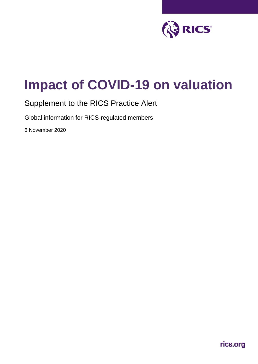

# **Impact of COVID-19 on valuation**

# Supplement to the RICS Practice Alert

Global information for RICS-regulated members

6 November 2020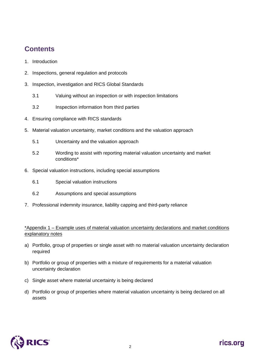# **Contents**

- 1. Introduction
- 2. Inspections, general regulation and protocols
- 3. Inspection, investigation and RICS Global Standards
	- 3.1 Valuing without an inspection or with inspection limitations
	- 3.2 Inspection information from third parties
- 4. Ensuring compliance with RICS standards
- 5. Material valuation uncertainty, market conditions and the valuation approach
	- 5.1 Uncertainty and the valuation approach
	- 5.2 Wording to assist with reporting material valuation uncertainty and market conditions\*
- 6. Special valuation instructions, including special assumptions
	- 6.1 Special valuation instructions
	- 6.2 Assumptions and special assumptions
- 7. Professional indemnity insurance, liability capping and third-party reliance

### \*Appendix 1 – Example uses of material valuation uncertainty declarations and market conditions explanatory notes

- a) Portfolio, group of properties or single asset with no material valuation uncertainty declaration required
- b) Portfolio or group of properties with a mixture of requirements for a material valuation uncertainty declaration
- c) Single asset where material uncertainty is being declared
- d) Portfolio or group of properties where material valuation uncertainty is being declared on all assets

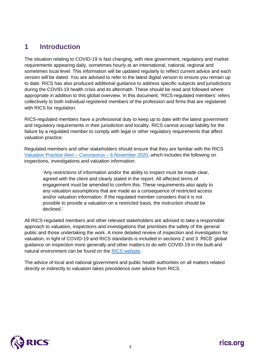## **1 Introduction**

The situation relating to COVID-19 is fast changing, with new government, regulatory and market requirements appearing daily, sometimes hourly at an international, national, regional and sometimes local level. This information will be updated regularly to reflect current advice and each version will be dated. You are advised to refer to the latest digital version to ensure you remain up to date. RICS has also produced additional guidance to address specific subjects and jurisdictions during the COVID-19 health crisis and its aftermath. These should be read and followed where appropriate in addition to this global overview. In this document, 'RICS-regulated members' refers collectively to both individual registered members of the profession and firms that are registered with RICS for regulation.

RICS-regulated members have a professional duty to keep up to date with the latest government and regulatory requirements in their jurisdiction and locality. RICS cannot accept liability for the failure by a regulated member to comply with legal or other regulatory requirements that affect valuation practice.

Regulated members and other stakeholders should ensure that they are familiar with the RICS [Valuation Practice Alert](https://www.rics.org/uk/upholding-professional-standards/sector-standards/valuation/valuation-coronavirus/) – Coronavirus – 6 November 2020, which includes the following on inspections, investigations and valuation information:

'Any restrictions of information and/or the ability to inspect must be made clear, agreed with the client and clearly stated in the report. All affected terms of engagement must be amended to confirm this. These requirements also apply to any valuation assumptions that are made as a consequence of restricted access and/or valuation information. If the regulated member considers that it is not possible to provide a valuation on a restricted basis, the instruction should be declined.'

All RICS-regulated members and other relevant stakeholders are advised to take a responsible approach to valuation, inspections and investigations that prioritises the safety of the general public and those undertaking the work. A more detailed review of inspection and investigation for valuation, in light of COVID-19 and RICS standards is included in sections 2 and 3. RICS' global guidance on inspection more generally and other matters to do with COVID-19 in the built and natural environment can be found on the [RICS website.](https://www.rics.org/uk/news-insight/latest-news/coronavirus-and-rics-events/guidance-for-professionals/)

The advice of local and national government and public health authorities on all matters related directly or indirectly to valuation takes precedence over advice from RICS.

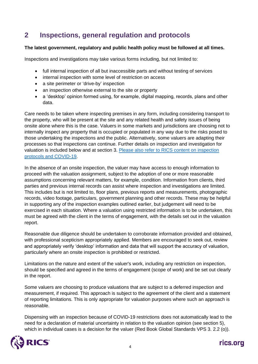# **2 Inspections, general regulation and protocols**

### **The latest government, regulatory and public health policy must be followed at all times.**

Inspections and investigations may take various forms including, but not limited to:

- full internal inspection of all but inaccessible parts and without testing of services
- internal inspection with some level of restriction on access
- a site perimeter or 'drive-by' inspection
- an inspection otherwise external to the site or property
- a 'desktop' opinion formed using, for example, digital mapping, records, plans and other data.

Care needs to be taken where inspecting premises in any form, including considering transport to the property, who will be present at the site and any related health and safety issues of being onsite alone where this is the case. Valuers in some markets and jurisdictions are choosing not to internally inspect any property that is occupied or populated in any way due to the risks posed to those undertaking the inspections and the public. Alternatively, some valuers are adapting their processes so that inspections can continue. Further details on inspection and investigation for valuation is included below and at section 3. [Please also refer to RICS](https://www.rics.org/uk/news-insight/latest-news/coronavirus-and-rics-events/guidance-for-professionals/beyond-covid-19-reopening-guides/) content on inspection [protocols and COVID-19.](https://www.rics.org/uk/news-insight/latest-news/coronavirus-and-rics-events/guidance-for-professionals/beyond-covid-19-reopening-guides/)

In the absence of an onsite inspection, the valuer may have access to enough information to proceed with the valuation assignment, subject to the adoption of one or more reasonable assumptions concerning relevant matters, for example, condition. Information from clients, third parties and previous internal records can assist where inspection and investigations are limited. This includes but is not limited to, floor plans, previous reports and measurements, photographic records, video footage, particulars, government planning and other records. These may be helpful in supporting any of the inspection examples outlined earlier, but judgement will need to be exercised in each situation. Where a valuation using restricted information is to be undertaken, this must be agreed with the client in the terms of engagement, with the details set out in the valuation report.

Reasonable due diligence should be undertaken to corroborate information provided and obtained, with professional scepticism appropriately applied. Members are encouraged to seek out, review and appropriately verify 'desktop' information and data that will support the accuracy of valuation, particularly where an onsite inspection is prohibited or restricted.

Limitations on the nature and extent of the valuer's work, including any restriction on inspection, should be specified and agreed in the terms of engagement (scope of work) and be set out clearly in the report.

Some valuers are choosing to produce valuations that are subject to a deferred inspection and measurement, if required. This approach is subject to the agreement of the client and a statement of reporting limitations. This is only appropriate for valuation purposes where such an approach is reasonable.

Dispensing with an inspection because of COVID-19 restrictions does not automatically lead to the need for a declaration of material uncertainty in relation to the valuation opinion (see section 5), which in individual cases is a decision for the valuer (Red Book Global Standards VPS 3. 2.2 (o)).



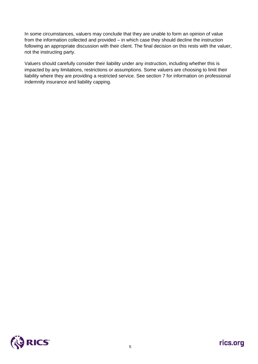In some circumstances, valuers may conclude that they are unable to form an opinion of value from the information collected and provided – in which case they should decline the instruction following an appropriate discussion with their client. The final decision on this rests with the valuer, not the instructing party.

Valuers should carefully consider their liability under any instruction, including whether this is impacted by any limitations, restrictions or assumptions. Some valuers are choosing to limit their liability where they are providing a restricted service. See section 7 for information on professional indemnity insurance and liability capping.

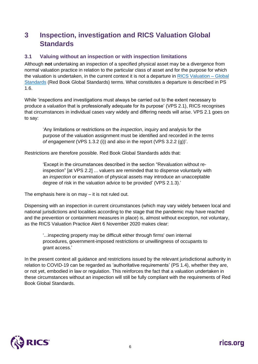# **3 Inspection, investigation and RICS Valuation Global Standards**

### **3.1 Valuing without an inspection or with inspection limitations**

Although **not** undertaking an inspection of a specified physical asset may be a divergence from normal valuation practice in relation to the particular class of asset and for the purpose for which the valuation is undertaken, in the current context it is not a departure in [RICS Valuation –](https://www.rics.org/globalassets/rics-website/media/upholding-professional-standards/sector-standards/valuation/rics-valuation--global-standards-jan.pdf) Global [Standards](https://www.rics.org/globalassets/rics-website/media/upholding-professional-standards/sector-standards/valuation/rics-valuation--global-standards-jan.pdf) (Red Book Global Standards) terms. What constitutes a departure is described in PS 1.6.

While 'inspections and investigations must always be carried out to the extent necessary to produce a *valuation* that is professionally adequate for its purpose' (VPS 2.1), RICS recognises that circumstances in individual cases vary widely and differing needs will arise. VPS 2.1 goes on to say:

'Any limitations or restrictions on the *inspection*, inquiry and analysis for the purpose of the valuation assignment must be identified and recorded in the *terms of engagement* (VPS 1.3.2 (i)) and also in the report (VPS 3.2.2 (g))'.

Restrictions are therefore possible. Red Book Global Standards adds that:

'Except in the circumstances described in the section "Revaluation without reinspection" [at VPS 2.2] ... valuers are reminded that to dispense voluntarily with an *inspection* or examination of physical assets may introduce an unacceptable degree of risk in the valuation advice to be provided' (VPS 2.1.3).'

The emphasis here is on may – it is not ruled out.

Dispensing with an inspection in current circumstances (which may vary widely between local and national jurisdictions and localities according to the stage that the pandemic may have reached and the prevention or containment measures in place) is, almost without exception, not voluntary, as the RICS Valuation Practice Alert 6 November 2020 makes clear:

'...inspecting property may be difficult either through firms' own internal procedures, government-imposed restrictions or unwillingness of occupants to grant access*.*'

In the present context all guidance and restrictions issued by the relevant jurisdictional authority in relation to COVID-19 can be regarded as 'authoritative requirements' (PS 1.4), whether they are, or not yet, embodied in law or regulation. This reinforces the fact that a valuation undertaken in these circumstances without an inspection will still be fully compliant with the requirements of Red Book Global Standards.

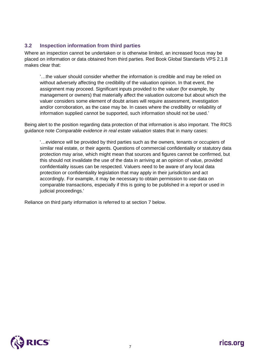### **3.2 Inspection information from third parties**

Where an inspection cannot be undertaken or is otherwise limited, an increased focus may be placed on information or data obtained from third parties. Red Book Global Standards VPS 2.1.8 makes clear that:

'…the valuer should consider whether the information is credible and may be relied on without adversely affecting the credibility of the valuation opinion. In that event, the assignment may proceed. Significant inputs provided to the valuer (for example, by management or owners) that materially affect the valuation outcome but about which the valuer considers some element of doubt arises will require assessment, investigation and/or corroboration, as the case may be. In cases where the credibility or reliability of information supplied cannot be supported, such information should not be used.'

Being alert to the position regarding data protection of that information is also important. The RICS guidance note *Comparable evidence in real estate valuation* states that in many cases:

'…evidence will be provided by third parties such as the owners, tenants or occupiers of similar real estate, or their agents. Questions of commercial confidentiality or statutory data protection may arise, which might mean that sources and figures cannot be confirmed, but this should not invalidate the use of the data in arriving at an opinion of value, provided confidentiality issues can be respected. Valuers need to be aware of any local data protection or confidentiality legislation that may apply in their jurisdiction and act accordingly. For example, it may be necessary to obtain permission to use data on comparable transactions, especially if this is going to be published in a report or used in judicial proceedings.'

Reliance on third party information is referred to at section 7 below.

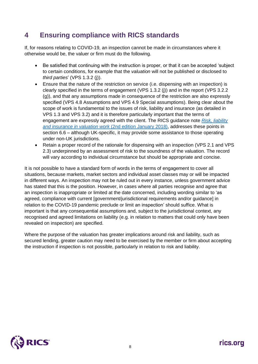# **4 Ensuring compliance with RICS standards**

If, for reasons relating to COVID-19, an inspection cannot be made in circumstances where it otherwise would be, the valuer or firm must do the following.

- Be satisfied that continuing with the instruction is proper, or that it can be accepted 'subject to certain conditions, for example that the *valuation* will not be published or disclosed to *third parties*' (VPS 1.3.2 (j)).
- Ensure that the nature of the restriction on service (i.e. dispensing with an inspection) is clearly specified in the terms of engagement (VPS 1.3.2 (j)) and in the report (VPS 3.2.2 (g)), and that any assumptions made in consequence of the restriction are also expressly specified (VPS 4.8 Assumptions and VPS 4.9 Special assumptions). Being clear about the scope of work is fundamental to the issues of risk, liability and insurance (as detailed in VPS 1.3 and VPS 3.2) and it is therefore particularly important that the terms of engagement are expressly agreed with the client. The RICS guidance note *[Risk, liability](https://www.rics.org/globalassets/rics-website/media/upholding-professional-standards/sector-standards/valuation/risk-liability-and-insurance-in-valuation-work-2nd-edition-rics.pdf)  [and insurance in valuation work](https://www.rics.org/globalassets/rics-website/media/upholding-professional-standards/sector-standards/valuation/risk-liability-and-insurance-in-valuation-work-2nd-edition-rics.pdf)* (2nd edition January 2018), addresses these points in section 6.6 – although UK-specific, it may provide some assistance to those operating under non-UK jurisdictions.
- Retain a proper record of the rationale for dispensing with an inspection (VPS 2.1 and VPS 2.3) underpinned by an assessment of risk to the soundness of the valuation. The record will vary according to individual circumstance but should be appropriate and concise.

It is not possible to have a standard form of words in the terms of engagement to cover all situations, because markets, market sectors and individual asset classes may or will be impacted in different ways. An inspection may not be ruled out in every instance, unless government advice has stated that this is the position. However, in cases where all parties recognise and agree that an inspection is inappropriate or limited at the date concerned, including wording similar to 'as agreed, compliance with current [government/jurisdictional requirements and/or guidance] in relation to the COVID-19 pandemic preclude or limit an inspection' should suffice. What is important is that any consequential assumptions and, subject to the jurisdictional context, any recognised and agreed limitations on liability (e.g. in relation to matters that could only have been revealed on inspection) are specified.

Where the purpose of the valuation has greater implications around risk and liability, such as secured lending, greater caution may need to be exercised by the member or firm about accepting the instruction if inspection is not possible, particularly in relation to risk and liability.

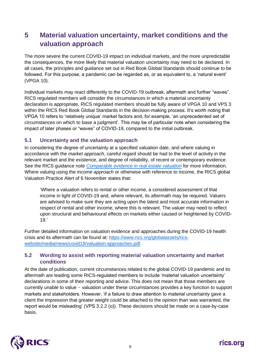# **5 Material valuation uncertainty, market conditions and the valuation approach**

The more severe the current COVID-19 impact on individual markets, and the more unpredictable the consequences, the more likely that material valuation uncertainty may need to be declared. In all cases, the principles and guidance set out in Red Book Global Standards should continue to be followed. For this purpose, a pandemic can be regarded as, or as equivalent to, a 'natural event' (VPGA 10).

Individual markets may react differently to the COVID-19 outbreak, aftermath and further "waves". RICS regulated members will consider the circumstances in which a material uncertainty declaration is appropriate. RICS regulated members should be fully aware of VPGA 10 and VPS 3 within the RICS Red Book Global Standards in the decision-making process. It's worth noting that VPGA 10 refers to 'relatively unique' market factors and, for example, 'an unprecedented set of circumstances on which to base a judgment'. This may be of particular note when considering the impact of later phases or "waves" of COVID-19, compared to the initial outbreak.

### **5.1 Uncertainty and the valuation approach**

In considering the degree of uncertainty at a specified valuation date, and where valuing in accordance with the *market approach*, careful regard should be had to the level of activity in the relevant market and the existence, and degree of reliability, of recent or contemporary evidence. See the RICS guidance note *[Comparable evidence in real estate valuation](https://www.rics.org/globalassets/rics-website/media/upholding-professional-standards/sector-standards/valuation/comparable-evidence-in-real-estate-valuation.pdf)* for more information. Where valuing using the *income approach* or otherwise with reference to income, the RICS global Valuation Practice Alert of 6 November states that:

'Where a valuation refers to rental or other income, a considered assessment of that income in light of COVID-19 and, where relevant, its aftermath may be required. Valuers are advised to make sure they are acting upon the latest and most accurate information in respect of rental and other income, where this is relevant. The valuer may need to reflect upon structural and behavioural effects on markets either caused or heightened by COVID-19.'

Further detailed information on valuation evidence and approaches during the COVID-19 health crisis and its aftermath can be found at: [https://www.rics.org/globalassets/rics](https://www.rics.org/globalassets/rics-website/media/news/covid19/valuation-approaches.pdf)[website/media/news/covid19/valuation-approaches.pdf.](https://www.rics.org/globalassets/rics-website/media/news/covid19/valuation-approaches.pdf)

### **5.2 Wording to assist with reporting material valuation uncertainty and market conditions**

At the date of publication, current circumstances related to the global COVID-19 pandemic and its aftermath are leading some RICS-regulated members to include 'material valuation uncertainty' declarations in some of their reporting and advice. This does not mean that those members are currently unable to value - valuation under these circumstances provides a key function to support markets and stakeholders. However, 'if a failure to draw attention to material uncertainty gave a client the impression that greater weight could be attached to the opinion than was warranted, the report would be misleading' (VPS 3.2.2 (o)). These decisions should be made on a case-by-case basis.

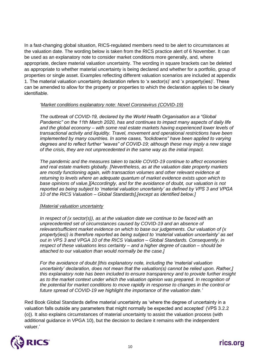In a fast-changing global situation, RICS-regulated members need to be alert to circumstances at the valuation date. The wording below is taken from the RICS practice alert of 6 November. It can be used as an explanatory note to consider market conditions more generally, and, where appropriate, declare material valuation uncertainty. The wording in square brackets can be deleted as appropriate to whether material uncertainty is being declared and whether for a portfolio, group of properties or single asset. Examples reflecting different valuation scenarios are included at appendix 1. The material valuation uncertainty declaration refers to 'x sector(s)' and 'x property(ies)'. These can be amended to allow for the property or properties to which the declaration applies to be clearly identifiable.

#### *'Market conditions explanatory note: Novel Coronavirus (COVID-19)*

*The outbreak of COVID-19, declared by the World Health Organisation as a "Global Pandemic" on the 11th March 2020, has and continues to impact many aspects of daily life and the global economy – with some real estate markets having experienced lower levels of transactional activity and liquidity. Travel, movement and operational restrictions have been implemented by many countries. In some cases, "lockdowns" have been applied to varying degrees and to reflect further "waves" of COVID-19; although these may imply a new stage of the crisis, they are not unprecedented in the same way as the initial impact.* 

*The pandemic and the measures taken to tackle COVID-19 continue to affect economies and real estate markets globally. [Nevertheless, as at the valuation date property markets are mostly functioning again, with transaction volumes and other relevant evidence at returning to levels where an adequate quantum of market evidence exists upon which to base opinions of value.][Accordingly, and for the avoidance of doubt, our valuation is not reported as being subject to 'material valuation uncertainty' as defined by VPS 3 and VPGA 10 of the RICS Valuation – Global Standards],[except as identified below.]* 

### *[Material valuation uncertainty*

*In respect of (x sector(s)), as at the valuation date we continue to be faced with an unprecedented set of circumstances caused by COVID-19 and an absence of relevant/sufficient market evidence on which to base our judgements. Our valuation of (x property(ies)) is therefore reported as being subject to 'material valuation uncertainty' as set out in VPS 3 and VPGA 10 of the RICS Valuation – Global Standards. Consequently, in respect of these valuations less certainty – and a higher degree of caution – should be attached to our valuation than would normally be the case.]*

*For the avoidance of doubt [this explanatory note, including the 'material valuation uncertainty' declaration, does not mean that the valuation(s) cannot be relied upon. Rather,] this explanatory note has been included to ensure transparency and to provide further insight*  as to the market context under which the valuation opinion was prepared. In recognition of *the potential for market conditions to move rapidly in response to changes in the control or future spread of COVID-19 we highlight the importance of the valuation date.'*

Red Book Global Standards define material uncertainty as 'where the degree of uncertainty in a valuation falls outside any parameters that might normally be expected and accepted' (VPS 3.2.2 (o)). It also explains circumstances of material uncertainty to assist the valuation process (with additional guidance in VPGA 10), but the decision to declare it remains with the independent valuer.'

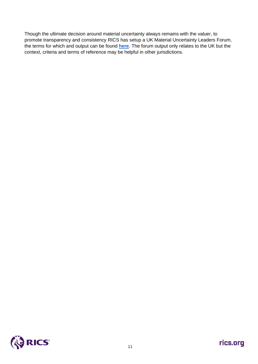Though the ultimate decision around material uncertainty always remains with the valuer, to promote transparency and consistency RICS has setup a UK Material Uncertainty Leaders Forum, the terms for which and output can be found **[here](https://www.rics.org/uk/upholding-professional-standards/sector-standards/valuation/rics-material-valuation-uncertainty-leaders-forum-uk/)**. The forum output only relates to the UK but the context, criteria and terms of reference may be helpful in other jurisdictions.

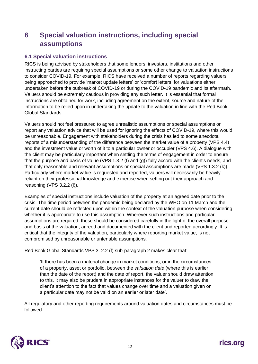# **6 Special valuation instructions, including special assumptions**

### **6.1 Special valuation instructions**

RICS is being advised by stakeholders that some lenders, investors, institutions and other instructing parties are requiring special assumptions or some other change to valuation instructions to consider COVID-19. For example, RICS have received a number of reports regarding valuers being approached to provide 'market update letters' or 'comfort letters' for valuations either undertaken before the outbreak of COVID-19 or during the COVID-19 pandemic and its aftermath. Valuers should be extremely cautious in providing any such letter. It is essential that formal instructions are obtained for work, including agreement on the extent, source and nature of the information to be relied upon in undertaking the update to the valuation in line with the Red Book Global Standards.

Valuers should not feel pressured to agree unrealistic assumptions or special assumptions or report any valuation advice that will be used for ignoring the effects of COVID-19, where this would be unreasonable. Engagement with stakeholders during the crisis has led to some anecdotal reports of a misunderstanding of the difference between the market value of a property (VPS 4.4) and the investment value or worth of it to a particular owner or occupier (VPS 4.6). A dialogue with the client may be particularly important when settling the terms of engagement in order to ensure that the purpose and basis of value (VPS 1.3.2 (f) and (g)) fully accord with the client's needs, and that only reasonable and relevant assumptions or special assumptions are made (VPS 1.3.2 (k)). Particularly where market value is requested and reported, valuers will necessarily be heavily reliant on their professional knowledge and expertise when setting out their approach and reasoning (VPS 3.2.2 (l)).

Examples of special instructions include valuation of the property at an agreed date prior to the crisis. The time period between the pandemic being declared by the WHO on 11 March and the current date should be reflected upon within the context of the valuation purpose when considering whether it is appropriate to use this assumption. Wherever such instructions and particular assumptions are required, these should be considered carefully in the light of the overall purpose and basis of the valuation, agreed and documented with the client and reported accordingly. It is critical that the integrity of the valuation, particularly where reporting market value, is not compromised by unreasonable or untenable assumptions.

Red Book Global Standards VPS 3. 2.2 (f) sub-paragraph 2 makes clear that:

'If there has been a material change in market conditions, or in the circumstances of a property, asset or portfolio, between the *valuation date* (where this is earlier than the date of the report) and the date of report, the valuer should draw attention to this. It may also be prudent in appropriate instances for the valuer to draw the client's attention to the fact that values change over time and a valuation given on a particular date may not be valid on an earlier or later date'.

All regulatory and other reporting requirements around valuation dates and circumstances must be followed.

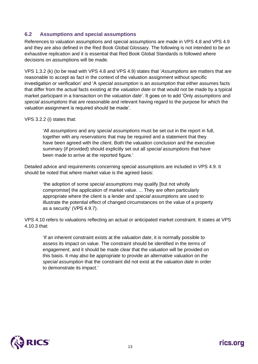### **6.2 Assumptions and special assumptions**

References to valuation assumptions and special assumptions are made in VPS 4.8 and VPS 4.9 and they are also defined in the Red Book Global Glossary. The following is not intended to be an exhaustive replication and it is essential that Red Book Global Standards is followed where decisions on assumptions will be made.

VPS 1.3.2 (k) (to be read with VPS 4.8 and VPS 4.9) states that '*Assumptions* are matters that are reasonable to accept as fact in the context of the valuation assignment without specific investigation or verification' and 'A *special assumption* is an *assumption* that either assumes facts that differ from the actual facts existing at the *valuation date* or that would not be made by a typical market participant in a transaction on the *valuation date*'. It goes on to add 'Only *assumptions* and *special assumptions* that are reasonable and relevant having regard to the purpose for which the valuation assignment is required should be made'.

#### VPS 3.2.2 (i) states that:

'All *assumptions* and any *special assumptions* must be set out in the report in full, together with any reservations that may be required and a statement that they have been agreed with the client. Both the valuation conclusion and the executive summary (if provided) should explicitly set out all *special assumptions* that have been made to arrive at the reported figure.'

Detailed advice and requirements concerning special assumptions are included in VPS 4.9. It should be noted that where market value is the agreed basis:

'the adoption of some *special assumptions* may qualify [but not wholly compromise] the application of market value. ... They are often particularly appropriate where the client is a lender and *special assumptions* are used to illustrate the potential effect of changed circumstances on the value of a property as a security' (VPS 4.9.7).

VPS 4.10 refers to valuations reflecting an actual or anticipated market constraint. It states at VPS 4.10.3 that:

'If an inherent constraint exists at the *valuation date*, it is normally possible to assess its impact on value. The constraint should be identified in the *terms of engagement*, and it should be made clear that the *valuation* will be provided on this basis. It may also be appropriate to provide an alternative *valuation* on the *special assumption* that the constraint did not exist at the *valuation date* in order to demonstrate its impact.'

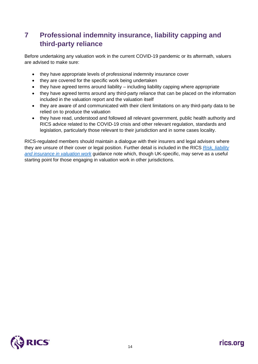# **7 Professional indemnity insurance, liability capping and third-party reliance**

Before undertaking any valuation work in the current COVID-19 pandemic or its aftermath, valuers are advised to make sure:

- they have appropriate levels of professional indemnity insurance cover
- they are covered for the specific work being undertaken
- they have agreed terms around liability including liability capping where appropriate
- they have agreed terms around any third-party reliance that can be placed on the information included in the valuation report and the valuation itself
- they are aware of and communicated with their client limitations on any third-party data to be relied on to produce the valuation
- they have read, understood and followed all relevant government, public health authority and RICS advice related to the COVID-19 crisis and other relevant regulation, standards and legislation, particularly those relevant to their jurisdiction and in some cases locality.

RICS-regulated members should maintain a dialogue with their insurers and legal advisers where they are unsure of their cover or legal position. Further detail is included in the RICS *[Risk, liability](https://www.rics.org/uk/upholding-professional-standards/sector-standards/valuation/risk-liability-and-insurance-in-valuation-work/)  [and insurance in valuation work](https://www.rics.org/uk/upholding-professional-standards/sector-standards/valuation/risk-liability-and-insurance-in-valuation-work/)* guidance note which, though UK-specific, may serve as a useful starting point for those engaging in valuation work in other jurisdictions.

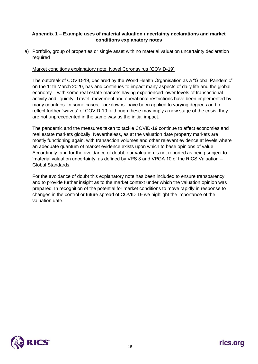### **Appendix 1 – Example uses of material valuation uncertainty declarations and market conditions explanatory notes**

a) Portfolio, group of properties or single asset with no material valuation uncertainty declaration required

#### Market conditions explanatory note: Novel Coronavirus (COVID-19)

The outbreak of COVID-19, declared by the World Health Organisation as a "Global Pandemic" on the 11th March 2020, has and continues to impact many aspects of daily life and the global economy – with some real estate markets having experienced lower levels of transactional activity and liquidity. Travel, movement and operational restrictions have been implemented by many countries. In some cases, "lockdowns" have been applied to varying degrees and to reflect further "waves" of COVID-19; although these may imply a new stage of the crisis, they are not unprecedented in the same way as the initial impact.

The pandemic and the measures taken to tackle COVID-19 continue to affect economies and real estate markets globally. Nevertheless, as at the valuation date property markets are mostly functioning again, with transaction volumes and other relevant evidence at levels where an adequate quantum of market evidence exists upon which to base opinions of value. Accordingly, and for the avoidance of doubt, our valuation is not reported as being subject to 'material valuation uncertainty' as defined by VPS 3 and VPGA 10 of the RICS Valuation – Global Standards.

For the avoidance of doubt this explanatory note has been included to ensure transparency and to provide further insight as to the market context under which the valuation opinion was prepared. In recognition of the potential for market conditions to move rapidly in response to changes in the control or future spread of COVID-19 we highlight the importance of the valuation date.

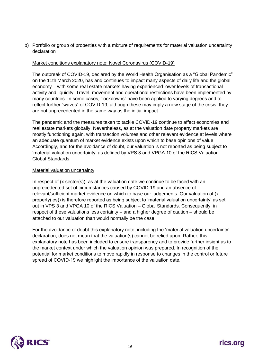b) Portfolio or group of properties with a mixture of requirements for material valuation uncertainty declaration

#### Market conditions explanatory note: Novel Coronavirus (COVID-19)

The outbreak of COVID-19, declared by the World Health Organisation as a "Global Pandemic" on the 11th March 2020, has and continues to impact many aspects of daily life and the global economy – with some real estate markets having experienced lower levels of transactional activity and liquidity. Travel, movement and operational restrictions have been implemented by many countries. In some cases, "lockdowns" have been applied to varying degrees and to reflect further "waves" of COVID-19; although these may imply a new stage of the crisis, they are not unprecedented in the same way as the initial impact.

The pandemic and the measures taken to tackle COVID-19 continue to affect economies and real estate markets globally. Nevertheless, as at the valuation date property markets are mostly functioning again, with transaction volumes and other relevant evidence at levels where an adequate quantum of market evidence exists upon which to base opinions of value. Accordingly, and for the avoidance of doubt, our valuation is not reported as being subject to 'material valuation uncertainty' as defined by VPS 3 and VPGA 10 of the RICS Valuation – Global Standards.

#### Material valuation uncertainty

In respect of (x sector(s)), as at the valuation date we continue to be faced with an unprecedented set of circumstances caused by COVID-19 and an absence of relevant/sufficient market evidence on which to base our judgements. Our valuation of (x property(ies)) is therefore reported as being subject to 'material valuation uncertainty' as set out in VPS 3 and VPGA 10 of the RICS Valuation – Global Standards. Consequently, in respect of these valuations less certainty – and a higher degree of caution – should be attached to our valuation than would normally be the case.

For the avoidance of doubt this explanatory note, including the 'material valuation uncertainty' declaration, does not mean that the valuation(s) cannot be relied upon. Rather, this explanatory note has been included to ensure transparency and to provide further insight as to the market context under which the valuation opinion was prepared. In recognition of the potential for market conditions to move rapidly in response to changes in the control or future spread of COVID-19 we highlight the importance of the valuation date.'

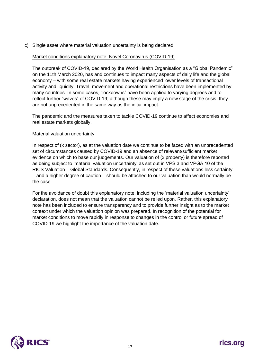c) Single asset where material valuation uncertainty is being declared

#### Market conditions explanatory note: Novel Coronavirus (COVID-19)

The outbreak of COVID-19, declared by the World Health Organisation as a "Global Pandemic" on the 11th March 2020, has and continues to impact many aspects of daily life and the global economy – with some real estate markets having experienced lower levels of transactional activity and liquidity. Travel, movement and operational restrictions have been implemented by many countries. In some cases, "lockdowns" have been applied to varying degrees and to reflect further "waves" of COVID-19; although these may imply a new stage of the crisis, they are not unprecedented in the same way as the initial impact.

The pandemic and the measures taken to tackle COVID-19 continue to affect economies and real estate markets globally.

#### Material valuation uncertainty

In respect of (x sector), as at the valuation date we continue to be faced with an unprecedented set of circumstances caused by COVID-19 and an absence of relevant/sufficient market evidence on which to base our judgements. Our valuation of (x property) is therefore reported as being subject to 'material valuation uncertainty' as set out in VPS 3 and VPGA 10 of the RICS Valuation – Global Standards. Consequently, in respect of these valuations less certainty – and a higher degree of caution – should be attached to our valuation than would normally be the case.

For the avoidance of doubt this explanatory note, including the 'material valuation uncertainty' declaration, does not mean that the valuation cannot be relied upon. Rather, this explanatory note has been included to ensure transparency and to provide further insight as to the market context under which the valuation opinion was prepared. In recognition of the potential for market conditions to move rapidly in response to changes in the control or future spread of COVID-19 we highlight the importance of the valuation date.